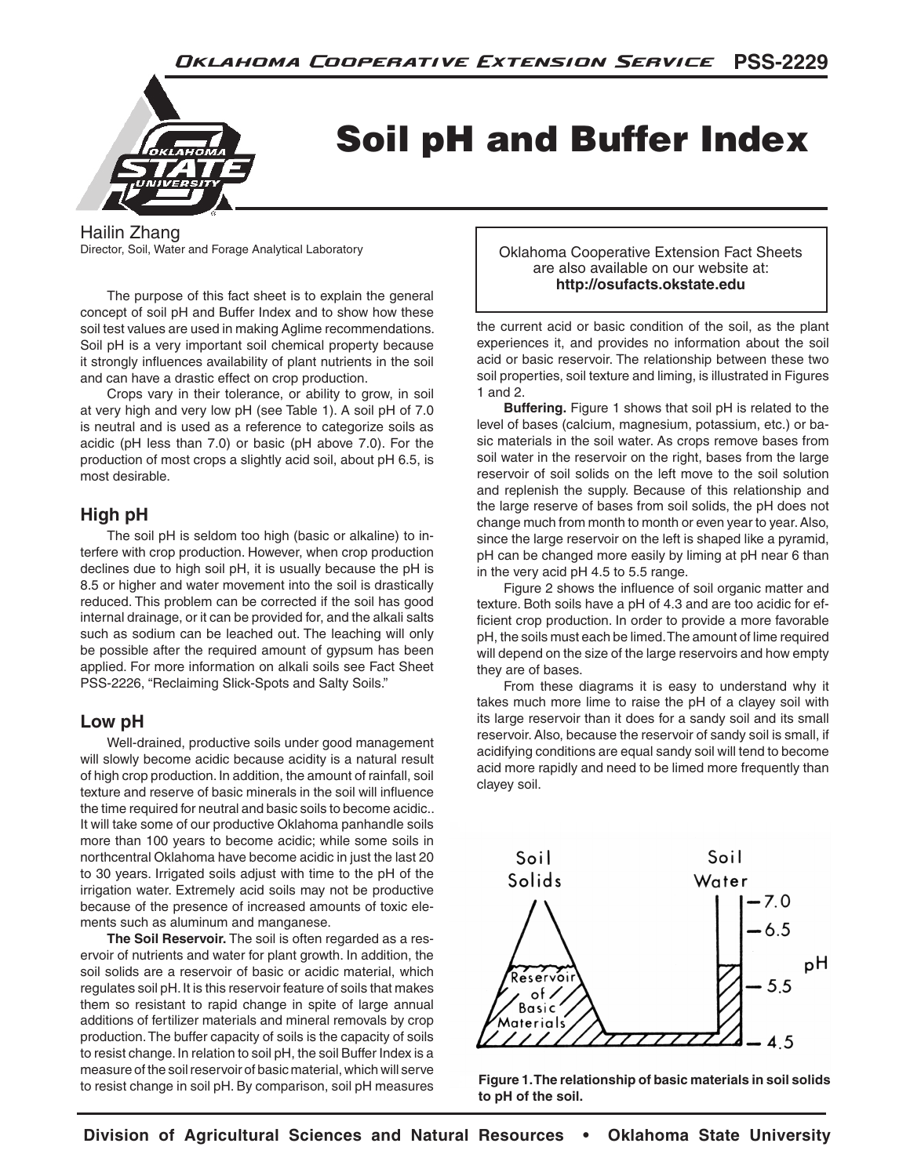

# Soil pH and Buffer Index

Hailin Zhang

Director, Soil, Water and Forage Analytical Laboratory

The purpose of this fact sheet is to explain the general concept of soil pH and Buffer Index and to show how these soil test values are used in making Aglime recommendations. Soil pH is a very important soil chemical property because it strongly influences availability of plant nutrients in the soil and can have a drastic effect on crop production.

Crops vary in their tolerance, or ability to grow, in soil at very high and very low pH (see Table 1). A soil pH of 7.0 is neutral and is used as a reference to categorize soils as acidic (pH less than 7.0) or basic (pH above 7.0). For the production of most crops a slightly acid soil, about pH 6.5, is most desirable.

## **High pH**

The soil pH is seldom too high (basic or alkaline) to interfere with crop production. However, when crop production declines due to high soil pH, it is usually because the pH is 8.5 or higher and water movement into the soil is drastically reduced. This problem can be corrected if the soil has good internal drainage, or it can be provided for, and the alkali salts such as sodium can be leached out. The leaching will only be possible after the required amount of gypsum has been applied. For more information on alkali soils see Fact Sheet PSS-2226, "Reclaiming Slick-Spots and Salty Soils."

## **Low pH**

Well-drained, productive soils under good management will slowly become acidic because acidity is a natural result of high crop production. In addition, the amount of rainfall, soil texture and reserve of basic minerals in the soil will influence the time required for neutral and basic soils to become acidic.. It will take some of our productive Oklahoma panhandle soils more than 100 years to become acidic; while some soils in northcentral Oklahoma have become acidic in just the last 20 to 30 years. Irrigated soils adjust with time to the pH of the irrigation water. Extremely acid soils may not be productive because of the presence of increased amounts of toxic elements such as aluminum and manganese.

**The Soil Reservoir.** The soil is often regarded as a reservoir of nutrients and water for plant growth. In addition, the soil solids are a reservoir of basic or acidic material, which regulates soil pH. It is this reservoir feature of soils that makes them so resistant to rapid change in spite of large annual additions of fertilizer materials and mineral removals by crop production. The buffer capacity of soils is the capacity of soils to resist change. In relation to soil pH, the soil Buffer Index is a measure of the soil reservoir of basic material, which will serve to resist change in soil pH. By comparison, soil pH measures

Oklahoma Cooperative Extension Fact Sheets are also available on our website at: **http://osufacts.okstate.edu**

the current acid or basic condition of the soil, as the plant experiences it, and provides no information about the soil acid or basic reservoir. The relationship between these two soil properties, soil texture and liming, is illustrated in Figures 1 and 2.

**Buffering.** Figure 1 shows that soil pH is related to the level of bases (calcium, magnesium, potassium, etc.) or basic materials in the soil water. As crops remove bases from soil water in the reservoir on the right, bases from the large reservoir of soil solids on the left move to the soil solution and replenish the supply. Because of this relationship and the large reserve of bases from soil solids, the pH does not change much from month to month or even year to year. Also, since the large reservoir on the left is shaped like a pyramid, pH can be changed more easily by liming at pH near 6 than in the very acid pH 4.5 to 5.5 range.

Figure 2 shows the influence of soil organic matter and texture. Both soils have a pH of 4.3 and are too acidic for efficient crop production. In order to provide a more favorable pH, the soils must each be limed. The amount of lime required will depend on the size of the large reservoirs and how empty they are of bases.

From these diagrams it is easy to understand why it takes much more lime to raise the pH of a clayey soil with its large reservoir than it does for a sandy soil and its small reservoir. Also, because the reservoir of sandy soil is small, if acidifying conditions are equal sandy soil will tend to become acid more rapidly and need to be limed more frequently than clayey soil.



**Figure 1. The relationship of basic materials in soil solids to pH of the soil.**